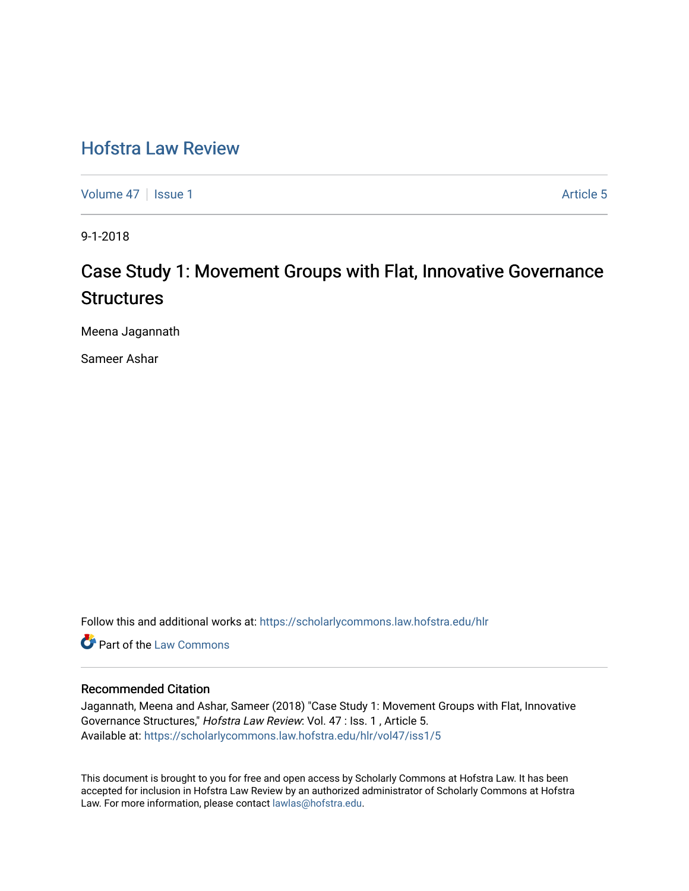# [Hofstra Law Review](https://scholarlycommons.law.hofstra.edu/hlr)

[Volume 47](https://scholarlycommons.law.hofstra.edu/hlr/vol47) | [Issue 1](https://scholarlycommons.law.hofstra.edu/hlr/vol47/iss1) Article 5

9-1-2018

# Case Study 1: Movement Groups with Flat, Innovative Governance **Structures**

Meena Jagannath

Sameer Ashar

Follow this and additional works at: [https://scholarlycommons.law.hofstra.edu/hlr](https://scholarlycommons.law.hofstra.edu/hlr?utm_source=scholarlycommons.law.hofstra.edu%2Fhlr%2Fvol47%2Fiss1%2F5&utm_medium=PDF&utm_campaign=PDFCoverPages)

**C** Part of the [Law Commons](http://network.bepress.com/hgg/discipline/578?utm_source=scholarlycommons.law.hofstra.edu%2Fhlr%2Fvol47%2Fiss1%2F5&utm_medium=PDF&utm_campaign=PDFCoverPages)

# Recommended Citation

Jagannath, Meena and Ashar, Sameer (2018) "Case Study 1: Movement Groups with Flat, Innovative Governance Structures," Hofstra Law Review: Vol. 47 : Iss. 1 , Article 5. Available at: [https://scholarlycommons.law.hofstra.edu/hlr/vol47/iss1/5](https://scholarlycommons.law.hofstra.edu/hlr/vol47/iss1/5?utm_source=scholarlycommons.law.hofstra.edu%2Fhlr%2Fvol47%2Fiss1%2F5&utm_medium=PDF&utm_campaign=PDFCoverPages)

This document is brought to you for free and open access by Scholarly Commons at Hofstra Law. It has been accepted for inclusion in Hofstra Law Review by an authorized administrator of Scholarly Commons at Hofstra Law. For more information, please contact [lawlas@hofstra.edu.](mailto:lawlas@hofstra.edu)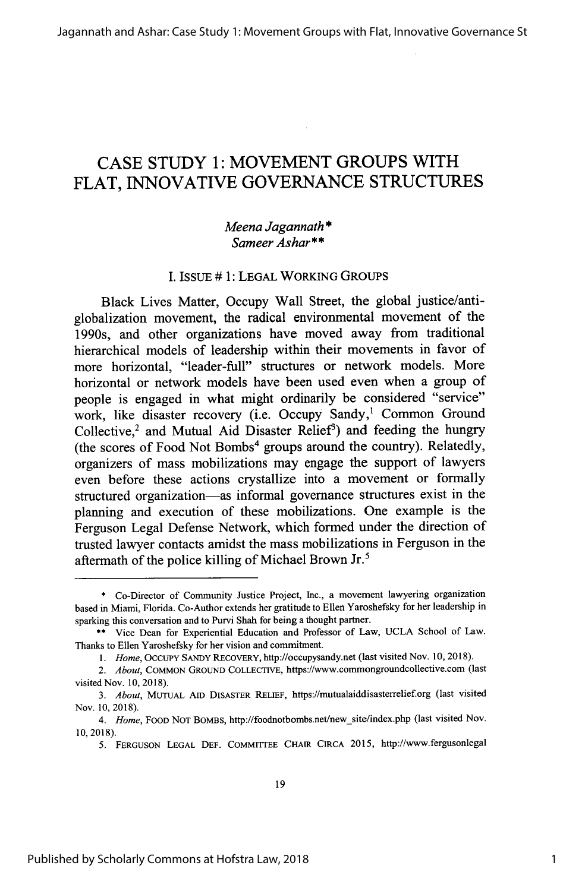# **CASE STUDY 1: MOVEMENT GROUPS** WITH FLAT, INNOVATIVE GOVERNANCE STRUCTURES

# *Meena* Jagannath *\** Sameer *Ashar\*\**

#### I. ISSuE # 1: LEGAL WORKING GROUPS

Black Lives Matter, Occupy Wall Street, the global justice/antiglobalization movement, the radical environmental movement of the 1990s, and other organizations have moved away from traditional hierarchical models of leadership within their movements in favor of more horizontal, "leader-full" structures or network models. More horizontal or network models have been used even when a group of people is engaged in what might ordinarily be considered "service" work, like disaster recovery (i.e. Occupy Sandy,<sup>1</sup> Common Ground Collective,<sup>2</sup> and Mutual Aid Disaster Relief<sup>3</sup>) and feeding the hungry (the scores of Food Not Bombs<sup>4</sup> groups around the country). Relatedly, organizers of mass mobilizations may engage the support of lawyers even before these actions crystallize into a movement or formally structured organization—as informal governance structures exist in the planning and execution of these mobilizations. One example is the Ferguson Legal Defense Network, which formed under the direction of trusted lawyer contacts amidst the mass mobilizations in Ferguson in the aftermath of the police killing of Michael Brown Jr.<sup>5</sup>

<sup>\*</sup> Co-Director of Community Justice Project, Inc., a movement lawyering organization based in Miami, Florida. Co-Author extends her gratitude to Ellen Yaroshefsky for her leadership in sparking this conversation and to Purvi Shah for being a thought partner.

<sup>\*\*</sup> Vice Dean for Experiential Education and Professor of Law, UCLA School of Law. Thanks to Ellen Yaroshefsky for her vision and commitment.

*<sup>1.</sup> Home,* OCCUpy **SANDY** RECOVERY, http://occupysandy.net (last visited Nov. 10, 2018).

*<sup>2.</sup> About,* COMMON GROUND COLLECTIVE, https://www.commongroundcollective.com (last visited Nov. 10, 2018).

*<sup>3.</sup> About,* MUTUAL **AID** DISASTER RELIEF, https://mutualaiddisasterrelief.org (last visited Nov. 10, 2018).

*<sup>4.</sup> Home,* FOOD NOT BOMBS, http://foodnotbombs.net/new-site/index.php (last visited Nov. 10, 2018).

<sup>5.</sup> FERGUSON **LEGAL DEF.** COMMITTEE CHAIR CIRCA 2015, http://www.fergusonlegal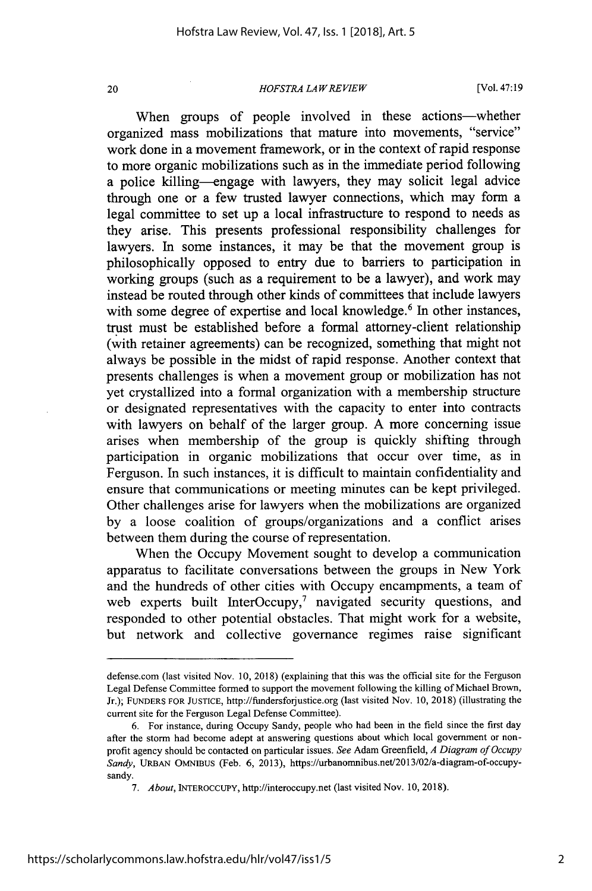#### *HOFSTRA LAW REVIEW*

[Vol. 47:19

When groups of people involved in these actions-whether organized mass mobilizations that mature into movements, "service" work done in a movement framework, or in the context of rapid response to more organic mobilizations such as in the immediate period following a police killing—engage with lawyers, they may solicit legal advice through one or a few trusted lawyer connections, which may form a legal committee to set up a local infrastructure to respond to needs as they arise. This presents professional responsibility challenges for lawyers. In some instances, it may be that the movement group is philosophically opposed to entry due to barriers to participation in working groups (such as a requirement to be a lawyer), and work may instead be routed through other kinds of committees that include lawyers with some degree of expertise and local knowledge.<sup>6</sup> In other instances, trust must be established before a formal attorney-client relationship (with retainer agreements) can be recognized, something that might not always be possible in the midst of rapid response. Another context that presents challenges is when a movement group or mobilization has not yet crystallized into a formal organization with a membership structure or designated representatives with the capacity to enter into contracts with lawyers on behalf of the larger group. A more concerning issue arises when membership of the group is quickly shifting through participation in organic mobilizations that occur over time, as in Ferguson. In such instances, it is difficult to maintain confidentiality and ensure that communications or meeting minutes can be kept privileged. Other challenges arise for lawyers when the mobilizations are organized by a loose coalition of groups/organizations and a conflict arises between them during the course of representation.

When the Occupy Movement sought to develop a communication apparatus to facilitate conversations between the groups in New York and the hundreds of other cities with Occupy encampments, a team of web experts built InterOccupy,<sup>7</sup> navigated security questions, and responded to other potential obstacles. That might work for a website, but network and collective governance regimes raise significant

defense.com (last visited Nov. 10, 2018) (explaining that this was the official site for the Ferguson Legal Defense Committee formed to support the movement following the killing of Michael Brown, Jr.); **FUNDERS** FOR **JUSTICE,** http://fundersforjustice.org (last visited Nov. 10, 2018) (illustrating the current site for the Ferguson Legal Defense Committee).

<sup>6.</sup> For instance, during Occupy Sandy, people who had been in the field since the first day after the storm had become adept at answering questions about which local government or nonprofit agency should be contacted on particular issues. *See* Adam Greenfield, *A Diagram of Occupy Sandy,* URBAN OMNIBUS (Feb. 6, 2013), https://urbanomnibus.net/2013/02/a-diagram-of-occupysandy.

*<sup>7.</sup> About,* INTEROCCUPY, http://interoccupy.net (last visited Nov. 10, 2018).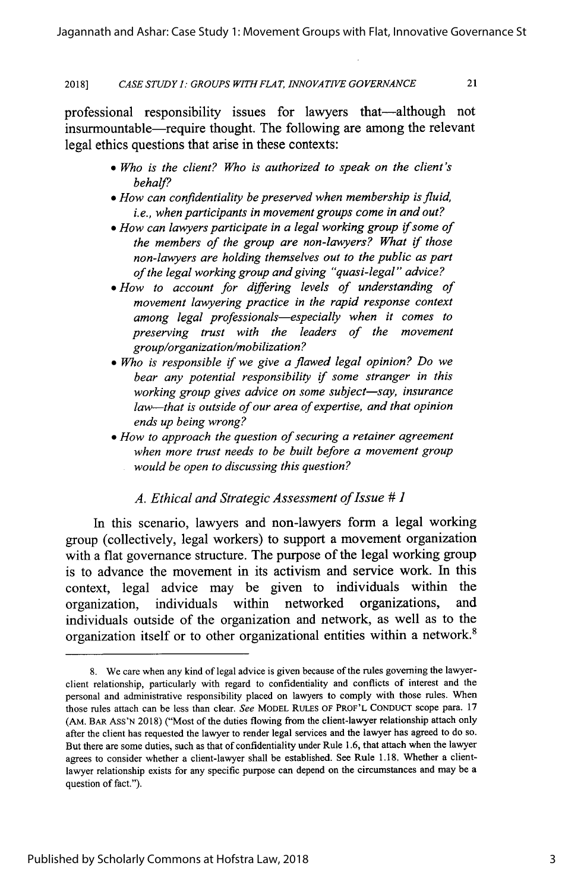2018] *CASE STUDY I: GROUPS WITHFLAT, INNOVATIVE GOVERNANCE* 21

professional responsibility issues for lawyers that-although not insurmountable—require thought. The following are among the relevant legal ethics questions that arise in these contexts:

- **"** *Who is the client? Who is authorized to speak on the client's behalf?*
- *" How can confidentiality be preserved when membership is fluid, i.e., when participants in movement groups come in and out?*
- *" How can lawyers participate in a legal working group* if *some of the members of the group are non-lawyers? What* if *those non-lawyers are holding themselves out to the public as part of the legal working group and giving "quasi-legal" advice?*
- *\* How to account for differing levels of understanding of movement lawyering practice in the rapid response context among legal professionals-especially when it comes to preserving trust with the leaders of the movement group/organization/mobilization?*
- *" Who is responsible* if *we give a flawed legal opinion? Do we bear any potential responsibility* if *some stranger in this working group gives advice on some subject-say, insurance law-that is outside of our area of expertise, and that opinion ends up being wrong?*
- *" How to approach the question of securing a retainer agreement when more trust needs to be built before a movement group would be open to discussing this question?*

#### *A. Ethical and Strategic Assessment of Issue # 1*

In this scenario, lawyers and non-lawyers form a legal working group (collectively, legal workers) to support a movement organization with a flat governance structure. The purpose of the legal working group is to advance the movement in its activism and service work. In this context, legal advice may be given to individuals within the organization, individuals within networked organizations, and individuals outside of the organization and network, as well as to the organization itself or to other organizational entities within a network.<sup>8</sup>

<sup>8.</sup> We care when any kind of legal advice is given because of the rules governing the lawyerclient relationship, particularly with regard to confidentiality and conflicts of interest and the personal and administrative responsibility placed on lawyers to comply with those rules. When those rules attach can be less than clear. *See* MODEL RULES OF PROF'L CONDUCT scope para. 17 **(AM.** BAR ASS'N 2018) ("Most of the duties flowing from the client-lawyer relationship attach only after the client has requested the lawyer to render legal services and the lawyer has agreed to do so. But there are some duties, such as that of confidentiality under Rule 1.6, that attach when the lawyer agrees to consider whether a client-lawyer shall be established. See Rule 1.18, Whether a clientlawyer relationship exists for any specific purpose can depend on the circumstances and may be a question of fact.").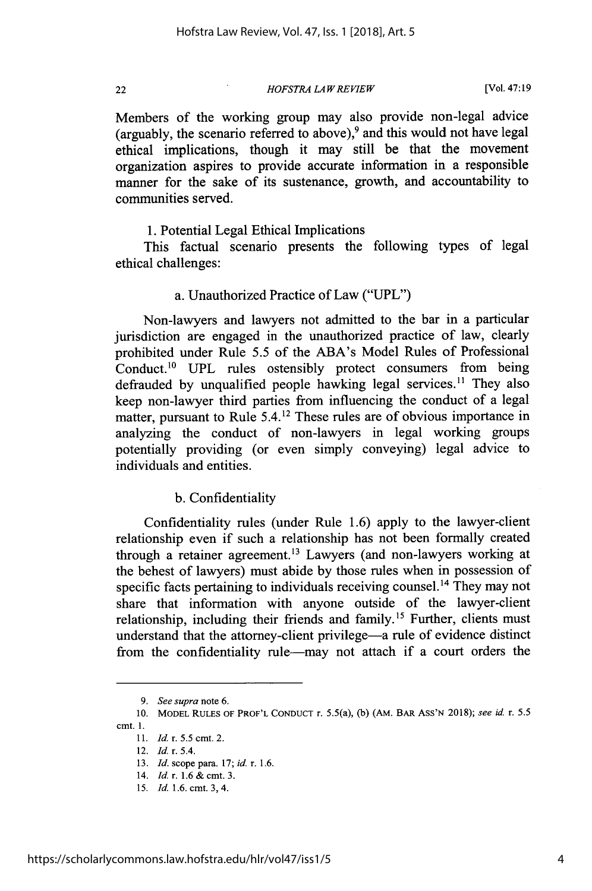*HOFSTRA LAW REVIEW*

[Vol. 47:19

Members of the working group may also provide non-legal advice (arguably, the scenario referred to above), $9$  and this would not have legal ethical implications, though it may still be that the movement organization aspires to provide accurate information in a responsible manner for the sake of its sustenance, growth, and accountability to communities served.

1. Potential Legal Ethical Implications

This factual scenario presents the following types of legal ethical challenges:

## a. Unauthorized Practice of Law ("UPL")

Non-lawyers and lawyers not admitted to the bar in a particular jurisdiction are engaged in the unauthorized practice of law, clearly prohibited under Rule 5.5 of the ABA's Model Rules of Professional Conduct.<sup>10</sup> UPL rules ostensibly protect consumers from being defrauded by unqualified people hawking legal services.<sup>11</sup> They also keep non-lawyer third parties from influencing the conduct of a legal matter, pursuant to Rule 5.4.12 These rules are of obvious importance in analyzing the conduct of non-lawyers in legal working groups potentially providing (or even simply conveying) legal advice to individuals and entities.

#### b. Confidentiality

Confidentiality rules (under Rule 1.6) apply to the lawyer-client relationship even if such a relationship has not been formally created through a retainer agreement.13 Lawyers (and non-lawyers working at the behest of lawyers) must abide by those rules when in possession of specific facts pertaining to individuals receiving counsel.<sup>14</sup> They may not share that information with anyone outside of the lawyer-client relationship, including their friends and family.<sup>15</sup> Further, clients must understand that the attorney-client privilege-a rule of evidence distinct from the confidentiality rule-may not attach if a court orders the

<sup>9.</sup> *See supra* note 6.

<sup>10.</sup> MODEL **RULES** OF PROF'L **CONDUCT** r. 5.5(a), (b) (AM. BAR ASS'N 2018); see *id.* r. 5.5 cmt. **1.**

<sup>11.</sup> *Id.* r. **5.5 cmt.** 2.

<sup>12.</sup> *Id.* r. 5.4.

<sup>13.</sup> *Id.* scope para. 17; *id.* r. 1.6.

<sup>14.</sup> *Id.* r. 1.6 & cmt. 3.

*<sup>15.</sup> Id.* 1.6. cmt. 3, 4.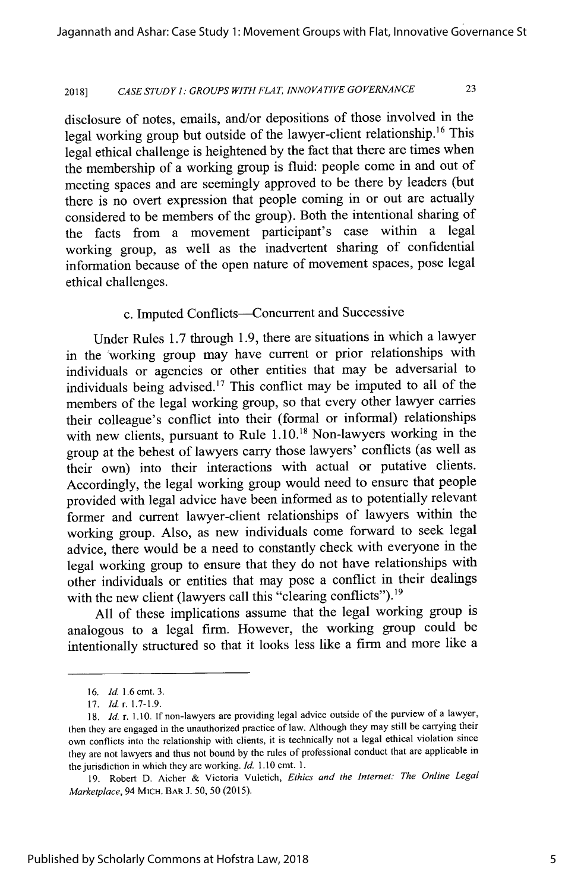## <sup>20181</sup>*CASE STUDY I: GROUPS WITH FLAT, INNOVATIVE GOVERNANCE* 23

disclosure of notes, emails, and/or depositions of those involved in the legal working group but outside of the lawyer-client relationship.<sup>16</sup> This legal ethical challenge is heightened by the fact that there are times when the membership of a working group is fluid: people come in and out of meeting spaces and are seemingly approved to be there by leaders (but there is no overt expression that people coming in or out are actually considered to be members of the group). Both the intentional sharing of the facts from a movement participant's case within a legal working group, as well as the inadvertent sharing of confidential information because of the open nature of movement spaces, pose legal ethical challenges.

#### c. Imputed Conflicts--Concurrent and Successive

Under Rules 1.7 through 1.9, there are situations in which a lawyer in the working group may have current or prior relationships with individuals or agencies or other entities that may be adversarial to individuals being advised.<sup>17</sup> This conflict may be imputed to all of the members of the legal working group, so that every other lawyer carries their colleague's conflict into their (formal or informal) relationships with new clients, pursuant to Rule  $1.10^{18}$  Non-lawyers working in the group at the behest of lawyers carry those lawyers' conflicts (as well as their own) into their interactions with actual or putative clients. Accordingly, the legal working group would need to ensure that people provided with legal advice have been informed as to potentially relevant former and current lawyer-client relationships of lawyers within the working group. Also, as new individuals come forward to seek legal advice, there would be a need to constantly check with everyone in the legal working group to ensure that they do not have relationships with other individuals or entities that may pose a conflict in their dealings with the new client (lawyers call this "clearing conflicts").<sup>19</sup>

All of these implications assume that the legal working group is analogous to a legal firm. However, the working group could be intentionally structured so that it looks less like a firm and more like a

<sup>16.</sup> *Id.* 1.6 cmt. 3.

<sup>17.</sup> *Id.* r. 1.7-1.9.

<sup>18.</sup> *Id.* r. 1.10. If non-lawyers are providing legal advice outside of the purview of a lawyer, then they are engaged in the unauthorized practice of law. Although they may still be carrying their own conflicts into the relationship with clients, it is technically not a legal ethical violation since they are not lawyers and thus not bound by the rules of professional conduct that are applicable in the jurisdiction in which they are working. *Id.* 1.10 cmt. 1.

<sup>19.</sup> Robert D. Aicher & Victoria Vuletich, *Ethics and the Internet: The Online Legal Marketplace,* 94 MiCH. BAR J. 50, 50 (2015).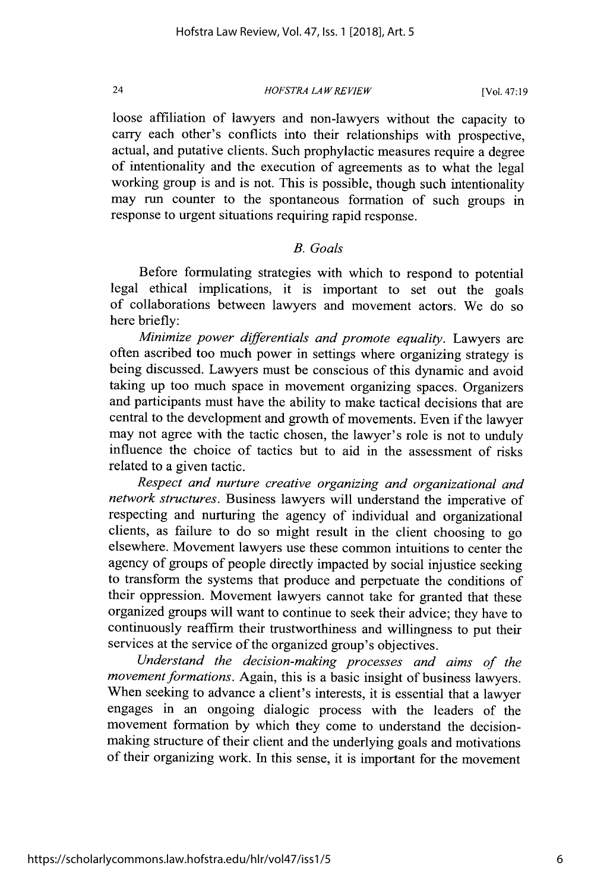*HOFSTRA LAW REVIEW*

loose affiliation of lawyers and non-lawyers without the capacity to carry each other's conflicts into their relationships with prospective, actual, and putative clients. Such prophylactic measures require a degree of intentionality and the execution of agreements as to what the legal working group is and is not. This is possible, though such intentionality may run counter to the spontaneous formation of such groups in response to urgent situations requiring rapid response.

#### *B. Goals*

Before formulating strategies with which to respond to potential legal ethical implications, it is important to set out the goals of collaborations between lawyers and movement actors. We do so here briefly:

*Minimize power differentials and promote equality.* Lawyers are often ascribed too much power in settings where organizing strategy is being discussed. Lawyers must be conscious of this dynamic and avoid taking up too much space in movement organizing spaces. Organizers and participants must have the ability to make tactical decisions that are central to the development and growth of movements. Even if the lawyer may not agree with the tactic chosen, the lawyer's role is not to unduly influence the choice of tactics but to aid in the assessment of risks related to a given tactic.

*Respect and nurture creative organizing and organizational and network structures.* Business lawyers will understand the imperative of respecting and nurturing the agency of individual and organizational clients, as failure to do so might result in the client choosing to go elsewhere. Movement lawyers use these common intuitions to center the agency of groups of people directly impacted by social injustice seeking to transform the systems that produce and perpetuate the conditions of their oppression. Movement lawyers cannot take for granted that these organized groups will want to continue to seek their advice; they have to continuously reaffirm their trustworthiness and willingness to put their services at the service of the organized group's objectives.

*Understand the decision-making processes and aims of the movement formations.* Again, this is a basic insight of business lawyers. When seeking to advance a client's interests, it is essential that a lawyer engages in an ongoing dialogic process with the leaders of the movement formation by which they come to understand the decisionmaking structure of their client and the underlying goals and motivations of their organizing work. In this sense, it is important for the movement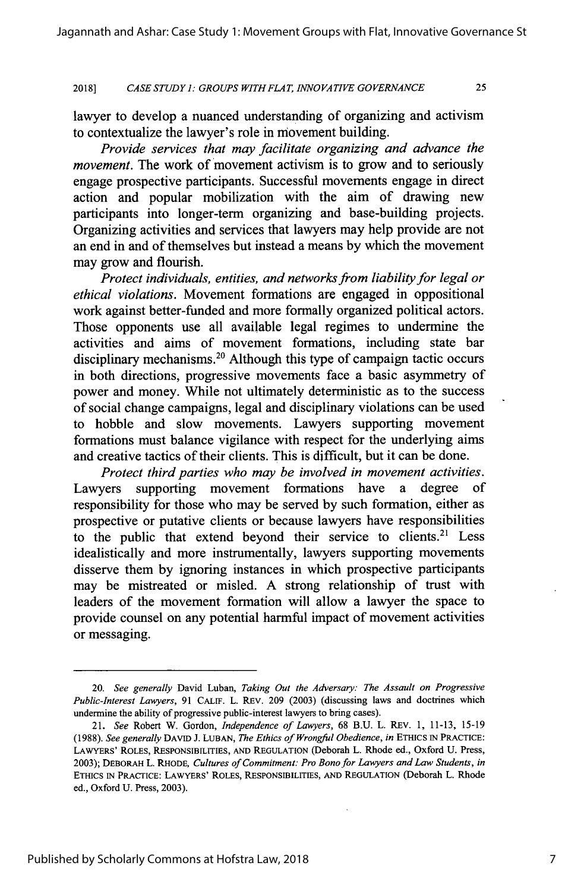#### 2018] *CASE STUDY ]: GROUPS WJTHFLAT, INNOVATIVE GOVERNANCE* 25

lawyer to develop a nuanced understanding of organizing and activism to contextualize the lawyer's role in movement building.

*Provide services that may facilitate organizing and advance the movement*. The work of movement activism is to grow and to seriously engage prospective participants. Successful movements engage in direct action and popular mobilization with the aim of drawing new participants into longer-term organizing and base-building projects. Organizing activities and services that lawyers may help provide are not an end in and of themselves but instead a means by which the movement may grow and flourish.

*Protect individuals, entities, and networks from liability for legal or ethical violations.* Movement formations are engaged in oppositional work against better-funded and more formally organized political actors. Those opponents use all available legal regimes to undermine the activities and aims of movement formations, including state bar disciplinary mechanisms.<sup>20</sup> Although this type of campaign tactic occurs in both directions, progressive movements face a basic asymmetry of power and money. While not ultimately deterministic as to the success of social change campaigns, legal and disciplinary violations can be used to hobble and slow movements. Lawyers supporting movement formations must balance vigilance with respect for the underlying aims and creative tactics of their clients. This is difficult, but it can be done.

*Protect third parties who may be involved in movement activities.* Lawyers supporting movement formations have a degree of responsibility for those who may be served by such formation, either as prospective or putative clients or because lawyers have responsibilities to the public that extend beyond their service to clients.<sup>21</sup> Less idealistically and more instrumentally, lawyers supporting movements disserve them by ignoring instances in which prospective participants may be mistreated or misled. A strong relationship of trust with leaders of the movement formation will allow a lawyer the space to provide counsel on any potential harmful impact of movement activities or messaging.

<sup>20.</sup> *See generally* David Luban, *Taking Out the Adversary: The Assault on Progressive Public-Interest Lawyers,* 91 CALIF. L. REV. 209 (2003) (discussing laws and doctrines which undermine the ability of progressive public-interest lawyers to bring cases).

<sup>21.</sup> *See* Robert W. Gordon, *Independence of Lawyers,* 68 B.U. L. REV. 1, 11-13, 15-19 (1988). *See generally* DAVID J. LUBAN, *The Ethics of Wrongful Obedience, in* ETHICS IN PRACTICE: LAWYERS' ROLES, RESPONSIBILrrIES, AND REGULATION (Deborah L. Rhode ed., Oxford U. Press, 2003); DEBORAH L. RHODE, *Cultures of Commitment: Pro Bono for Lawyers and Law Students, in* ETHICS IN PRACTICE: LAWYERS' ROLES, RESPONSIBILITIES, AND REGULATION (Deborah L. Rhode ed., Oxford U. Press, 2003).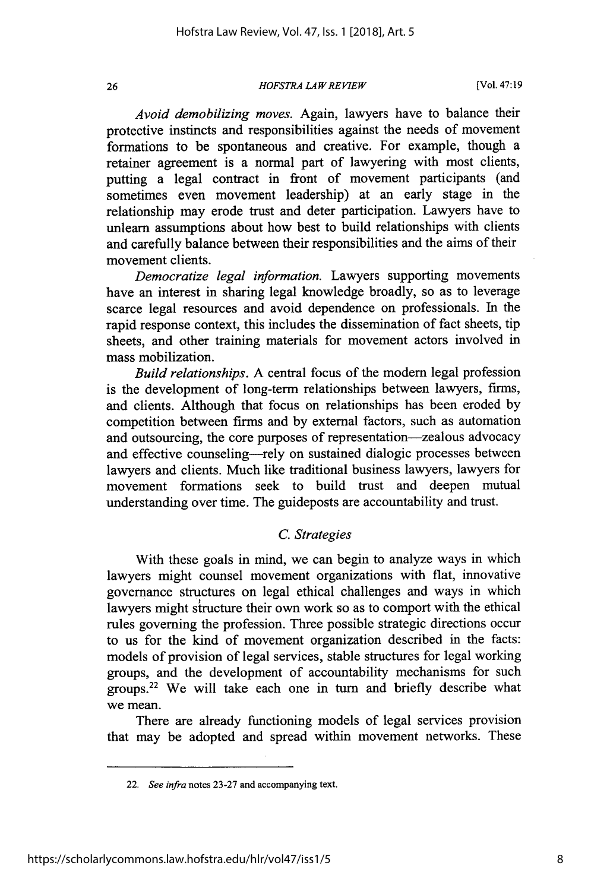#### *HOFSTRA LAW REVIEW*

[Vol. 47:19

*Avoid demobilizing moves.* Again, lawyers have to balance their protective instincts and responsibilities against the needs of movement formations to be spontaneous and creative. For example, though a retainer agreement is a normal part of lawyering with most clients, putting a legal contract in front of movement participants (and sometimes even movement leadership) at an early stage in the relationship may erode trust and deter participation. Lawyers have to unlearn assumptions about how best to build relationships with clients and carefully balance between their responsibilities and the aims of their movement clients.

*Democratize legal information.* Lawyers supporting movements have an interest in sharing legal knowledge broadly, so as to leverage scarce legal resources and avoid dependence on professionals. In the rapid response context, this includes the dissemination of fact sheets, tip sheets, and other training materials for movement actors involved in mass mobilization.

*Build relationships.* A central focus of the modem legal profession is the development of long-term relationships between lawyers, firms, and clients. Although that focus on relationships has been eroded by competition between firms and by external factors, such as automation and outsourcing, the core purposes of representation-zealous advocacy and effective counseling—rely on sustained dialogic processes between lawyers and clients. Much like traditional business lawyers, lawyers for movement formations seek to build trust and deepen mutual understanding over time. The guideposts are accountability and trust.

# *C. Strategies*

With these goals in mind, we can begin to analyze ways in which lawyers might counsel movement organizations with flat, innovative governance structures on legal ethical challenges and ways in which lawyers might structure their own work so as to comport with the ethical rules governing the profession. Three possible strategic directions occur to us for the kind of movement organization described in the facts: models of provision of legal services, stable structures for legal working groups, and the development of accountability mechanisms for such groups.22 We will take each one in turn and briefly describe what we mean.

There are already functioning models of legal services provision that may be adopted and spread within movement networks. These

<sup>22.</sup> *See infra* notes 23-27 and accompanying text.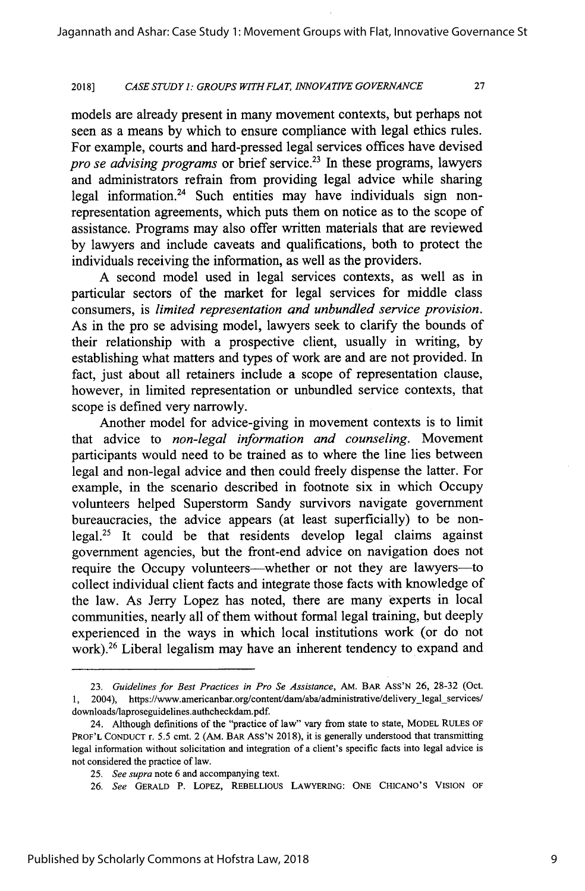#### 2018] *CASE STUDY 1: GROUPS WITHFLAT, INNOVATIVE GOVERNANCE* 27

models are already present in many movement contexts, but perhaps not seen as a means by which to ensure compliance with legal ethics rules. For example, courts and hard-pressed legal services offices have devised *pro se advising programs* or brief service.<sup>23</sup> In these programs, lawyers and administrators refrain from providing legal advice while sharing legal information.<sup>24</sup> Such entities may have individuals sign nonrepresentation agreements, which puts them on notice as to the scope of assistance. Programs may also offer written materials that are reviewed by lawyers and include caveats and qualifications, both to protect the individuals receiving the information, as well as the providers.

A second model used in legal services contexts, as well as in particular sectors of the market for legal services for middle class consumers, is *limited representation and unbundled service provision.* As in the pro se advising model, lawyers seek to clarify the bounds of their relationship with a prospective client, usually in writing, by establishing what matters and types of work are and are not provided. In fact, just about all retainers include a scope of representation clause, however, in limited representation or unbundled service contexts, that scope is defined very narrowly.

Another model for advice-giving in movement contexts is to limit that advice to *non-legal information and counseling.* Movement participants would need to be trained as to where the line lies between legal and non-legal advice and then could freely dispense the latter. For example, in the scenario described in footnote six in which Occupy volunteers helped Superstorm Sandy survivors navigate government bureaucracies, the advice appears (at least superficially) to be nonlegal.25 It could be that residents develop legal claims against government agencies, but the front-end advice on navigation does not require the Occupy volunteers—whether or not they are lawyers—to collect individual client facts and integrate those facts with knowledge of the law. As Jerry Lopez has noted, there are many experts in local communities, nearly all of them without formal legal training, but deeply experienced in the ways in which local institutions work (or do not work).<sup>26</sup> Liberal legalism may have an inherent tendency to expand and

<sup>23.</sup> *Guidelines for Best Practices in Pro Se Assistance,* AM. BAR ASS'N 26, 28-32 (Oct. 1, 2004), https://www.americanbar.org/content/dam/aba/administrative/delivery-legal-services/ downloads/laproseguidelines.authcheckdam.pdf.

<sup>24.</sup> Although defimitions of the "practice of law" vary from state to state, MODEL **RULES** OF PROF'L CONDUCT r. 5.5 cmt. 2 (AM. BAR ASS'N 2018), it is generally understood that transmitting legal information without solicitation and integration of a client's specific facts into legal advice is not considered the practice of law.

*<sup>25.</sup> See supra* note 6 and accompanying text.

<sup>26.</sup> *See* GERALD P. LOPEZ, REBELLIOUS LAWYERING: ONE CHICANO'S VISION OF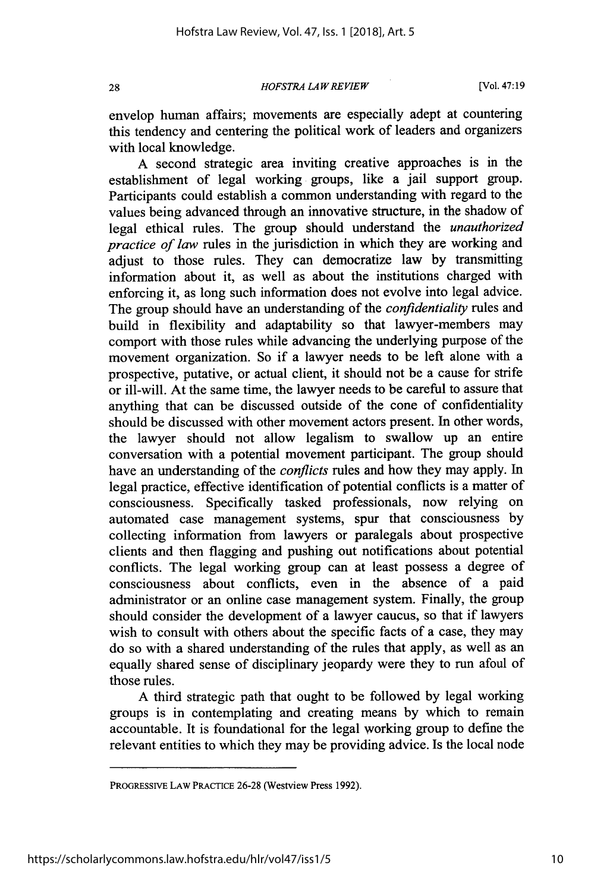#### *HOFSTRA LA W REVIEW*

[Vol. 47:19

envelop human affairs; movements are especially adept at countering this tendency and centering the political work of leaders and organizers with local knowledge.

A second strategic area inviting creative approaches is in the establishment of legal working groups, like a jail support group. Participants could establish a common understanding with regard to the values being advanced through an innovative structure, in the shadow of legal ethical rules. The group should understand the *unauthorized practice of law* rules in the jurisdiction in which they are working and adjust to those rules. They can democratize law by transmitting information about it, as well as about the institutions charged with enforcing it, as long such information does not evolve into legal advice. The group should have an understanding of the *confidentiality* rules and build in flexibility and adaptability so that lawyer-members may comport with those rules while advancing the underlying purpose of the movement organization. So if a lawyer needs to be left alone with a prospective, putative, or actual client, it should not be a cause for strife or ill-will. At the same time, the lawyer needs to be careful to assure that anything that can be discussed outside of the cone of confidentiality should be discussed with other movement actors present. In other words, the lawyer should not allow legalism to swallow up an entire conversation with a potential movement participant. The group should have an understanding of the *conflicts* rules and how they may apply. In legal practice, effective identification of potential conflicts is a matter of consciousness. Specifically tasked professionals, now relying on automated case management systems, spur that consciousness by collecting information from lawyers or paralegals about prospective clients and then flagging and pushing out notifications about potential conflicts. The legal working group can at least possess a degree of consciousness about conflicts, even in the absence of a paid administrator or an online case management system. Finally, the group should consider the development of a lawyer caucus, so that if lawyers wish to consult with others about the specific facts of a case, they may do so with a shared understanding of the rules that apply, as well as an equally shared sense of disciplinary jeopardy were they to run afoul of those rules.

A third strategic path that ought to be followed by legal working groups is in contemplating and creating means by which to remain accountable. It is foundational for the legal working group to define the relevant entities to which they may be providing advice. Is the local node

PROGRESSIVE LAW PRACTICE 26-28 (Westview Press 1992).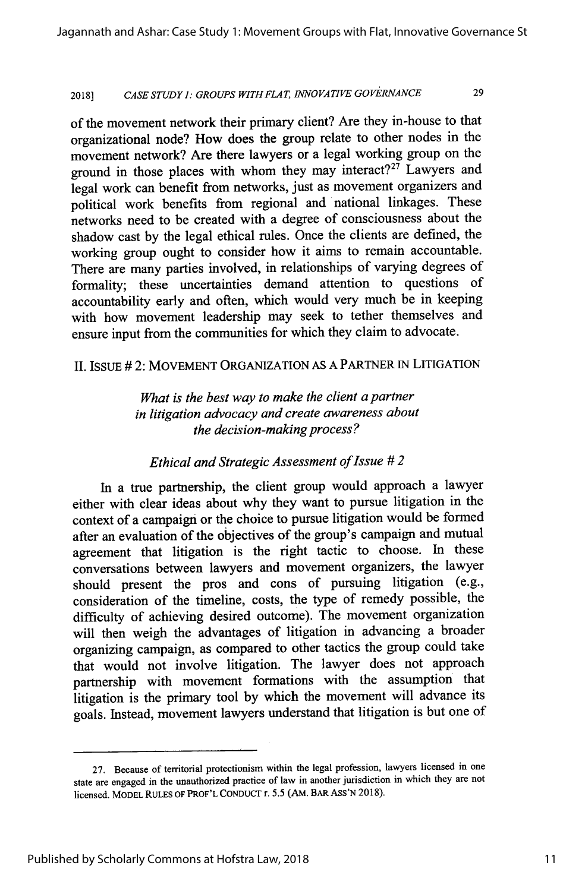# 2018] *CASE STUDY 1: GROUPS WITHFLAT, INNOVATIVE GOVERNANCE* 29

of the movement network their primary client? Are they in-house to that organizational node? How does the group relate to other nodes in the movement network? Are there lawyers or a legal working group on the ground in those places with whom they may interact?<sup>27</sup> Lawyers and legal work can benefit from networks, just as movement organizers and political work benefits from regional and national linkages. These networks need to be created with a degree of consciousness about the shadow cast by the legal ethical rules. Once the clients are defined, the working group ought to consider how it aims to remain accountable. There are many parties involved, in relationships of varying degrees of formality; these uncertainties demand attention to questions of accountability early and often, which would very much be in keeping with how movement leadership may seek to tether themselves and ensure input from the communities for which they claim to advocate.

# II. IsSUE # 2: MOVEMENT ORGANIZATION AS A PARTNER IN LITIGATION

*What is the best way to make the client a partner in litigation advocacy and create awareness about the decision-making process?*

## *Ethical and Strategic Assessment of Issue # 2*

In a true partnership, the client group would approach a lawyer either with clear ideas about why they want to pursue litigation in the context of a campaign or the choice to pursue litigation would be formed after an evaluation of the objectives of the group's campaign and mutual agreement that litigation is the right tactic to choose. In these conversations between lawyers and movement organizers, the lawyer should present the pros and cons of pursuing litigation (e.g., consideration of the timeline, costs, the type of remedy possible, the difficulty of achieving desired outcome). The movement organization will then weigh the advantages of litigation in advancing a broader organizing campaign, as compared to other tactics the group could take that would not involve litigation. The lawyer does not approach partnership with movement formations with the assumption that litigation is the primary tool **by** which the movement will advance its goals. Instead, movement lawyers understand that litigation is but one of

<sup>27.</sup> Because of territorial protectionism within the legal profession, lawyers licensed in one state are engaged in the unauthorized practice of law in another jurisdiction in which they are not licensed. MODEL RULES OF PROF'L CONDUCT r. 5.5 (AM. BAR Ass'N 2018).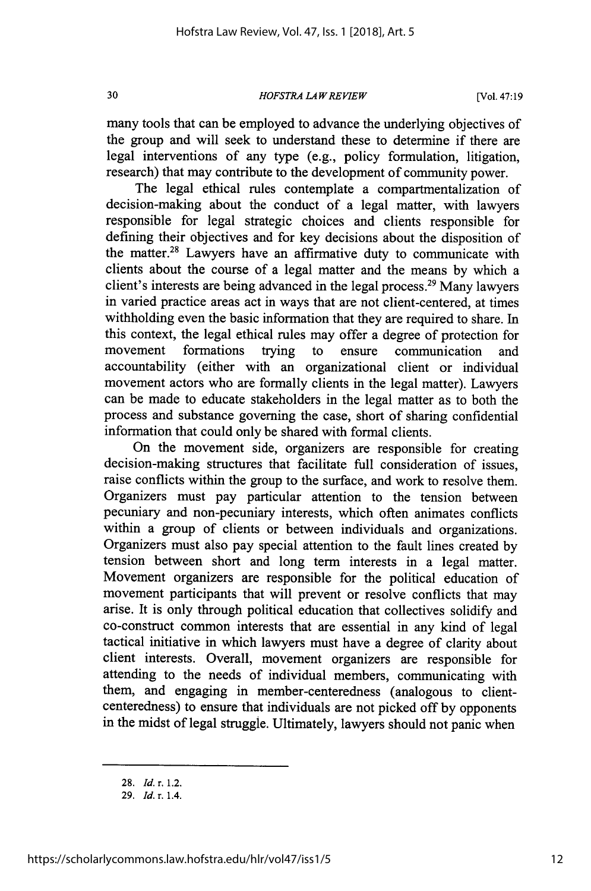#### *HOFSTRA LA W REVIEW*

many tools that can be employed to advance the underlying objectives of the group and will seek to understand these to determine if there are legal interventions of any type (e.g., policy formulation, litigation, research) that may contribute to the development of community power.

The legal ethical rules contemplate a compartmentalization of decision-making about the conduct of a legal matter, with lawyers responsible for legal strategic choices and clients responsible for defining their objectives and for key decisions about the disposition of the matter.<sup>28</sup> Lawyers have an affirmative duty to communicate with clients about the course of a legal matter and the means by which a client's interests are being advanced in the legal process.<sup>29</sup> Many lawyers in varied practice areas act in ways that are not client-centered, at times withholding even the basic information that they are required to share. In this context, the legal ethical rules may offer a degree of protection for movement formations trying to ensure communication and accountability (either with an organizational client or individual movement actors who are formally clients in the legal matter). Lawyers can be made to educate stakeholders in the legal matter as to both the process and substance governing the case, short of sharing confidential information that could only be shared with formal clients.

On the movement side, organizers are responsible for creating decision-making structures that facilitate full consideration of issues, raise conflicts within the group to the surface, and work to resolve them. Organizers must pay particular attention to the tension between pecuniary and non-pecuniary interests, which often animates conflicts within a group of clients or between individuals and organizations. Organizers must also pay special attention to the fault lines created by tension between short and long term interests in a legal matter. Movement organizers are responsible for the political education of movement participants that will prevent or resolve conflicts that may arise. It is only through political education that collectives solidify and co-construct common interests that are essential in any kind of legal tactical initiative in which lawyers must have a degree of clarity about client interests. Overall, movement organizers are responsible for attending to the needs of individual members, communicating with them, and engaging in member-centeredness (analogous to clientcenteredness) to ensure that individuals are not picked off by opponents in the midst of legal struggle. Ultimately, lawyers should not panic when

30

<sup>28.</sup> *Id. r.* 1.2.

<sup>29.</sup> *Id. r.* 1.4.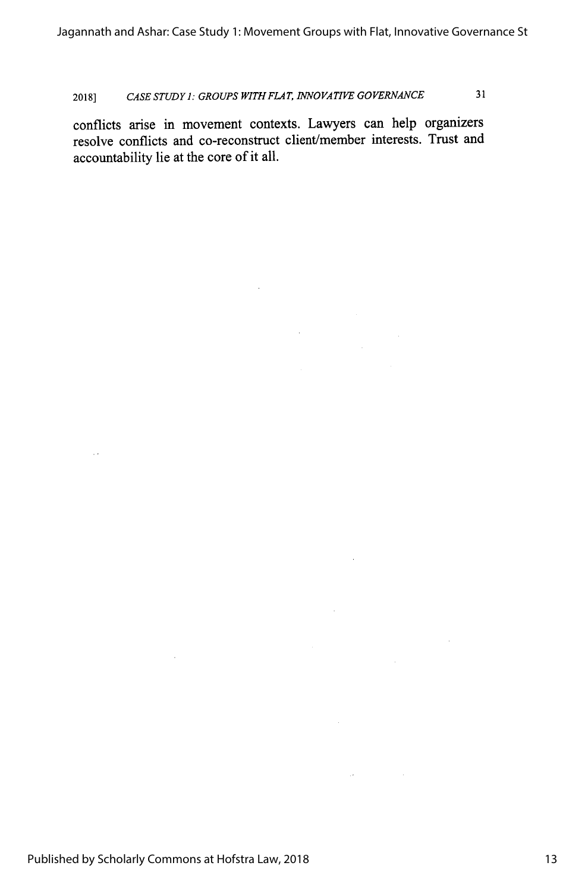# 2018] *CASE STUDY I: GROUPS WITH FLAT, INNOVATIVE GOVERNANCE* 31

conflicts arise in movement contexts. Lawyers can help organizers resolve conflicts and co-reconstruct client/member interests. Trust and accountability lie at the core of it all.

**Contract Contract State**